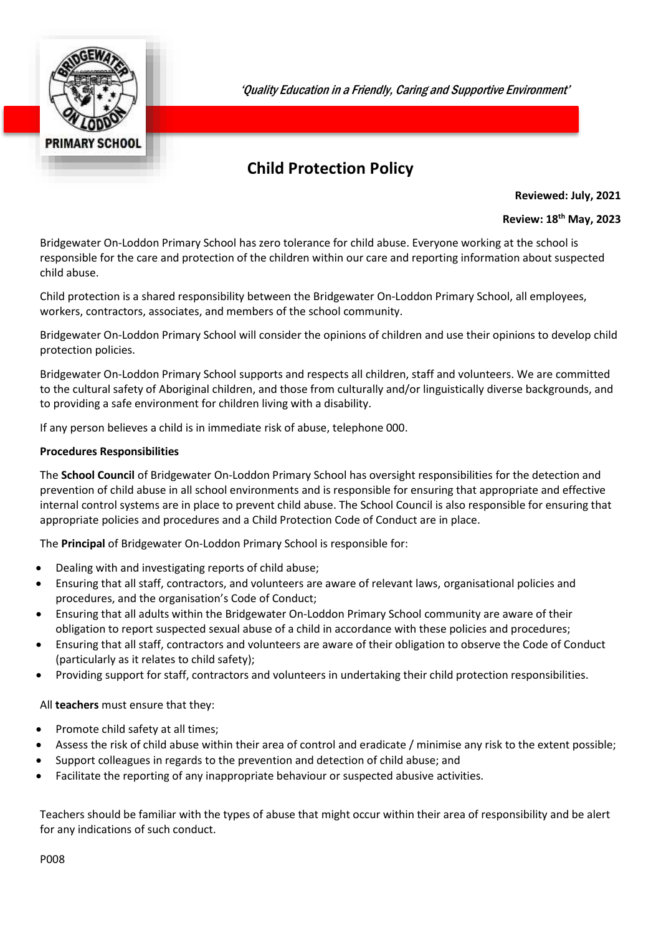

'Quality Education in a Friendly, Caring and Supportive Environment'

# **Child Protection Policy**

**Reviewed: July, 2021**

### **Review: 18th May, 2023**

Bridgewater On-Loddon Primary School has zero tolerance for child abuse. Everyone working at the school is responsible for the care and protection of the children within our care and reporting information about suspected child abuse.

Child protection is a shared responsibility between the Bridgewater On-Loddon Primary School, all employees, workers, contractors, associates, and members of the school community.

Bridgewater On-Loddon Primary School will consider the opinions of children and use their opinions to develop child protection policies.

Bridgewater On-Loddon Primary School supports and respects all children, staff and volunteers. We are committed to the cultural safety of Aboriginal children, and those from culturally and/or linguistically diverse backgrounds, and to providing a safe environment for children living with a disability.

If any person believes a child is in immediate risk of abuse, telephone 000.

## **Procedures Responsibilities**

The **School Council** of Bridgewater On-Loddon Primary School has oversight responsibilities for the detection and prevention of child abuse in all school environments and is responsible for ensuring that appropriate and effective internal control systems are in place to prevent child abuse. The School Council is also responsible for ensuring that appropriate policies and procedures and a Child Protection Code of Conduct are in place.

The **Principal** of Bridgewater On-Loddon Primary School is responsible for:

- Dealing with and investigating reports of child abuse;
- Ensuring that all staff, contractors, and volunteers are aware of relevant laws, organisational policies and procedures, and the organisation's Code of Conduct;
- Ensuring that all adults within the Bridgewater On-Loddon Primary School community are aware of their obligation to report suspected sexual abuse of a child in accordance with these policies and procedures;
- Ensuring that all staff, contractors and volunteers are aware of their obligation to observe the Code of Conduct (particularly as it relates to child safety);
- Providing support for staff, contractors and volunteers in undertaking their child protection responsibilities.

All **teachers** must ensure that they:

- Promote child safety at all times;
- Assess the risk of child abuse within their area of control and eradicate / minimise any risk to the extent possible;
- Support colleagues in regards to the prevention and detection of child abuse; and
- Facilitate the reporting of any inappropriate behaviour or suspected abusive activities.

Teachers should be familiar with the types of abuse that might occur within their area of responsibility and be alert for any indications of such conduct.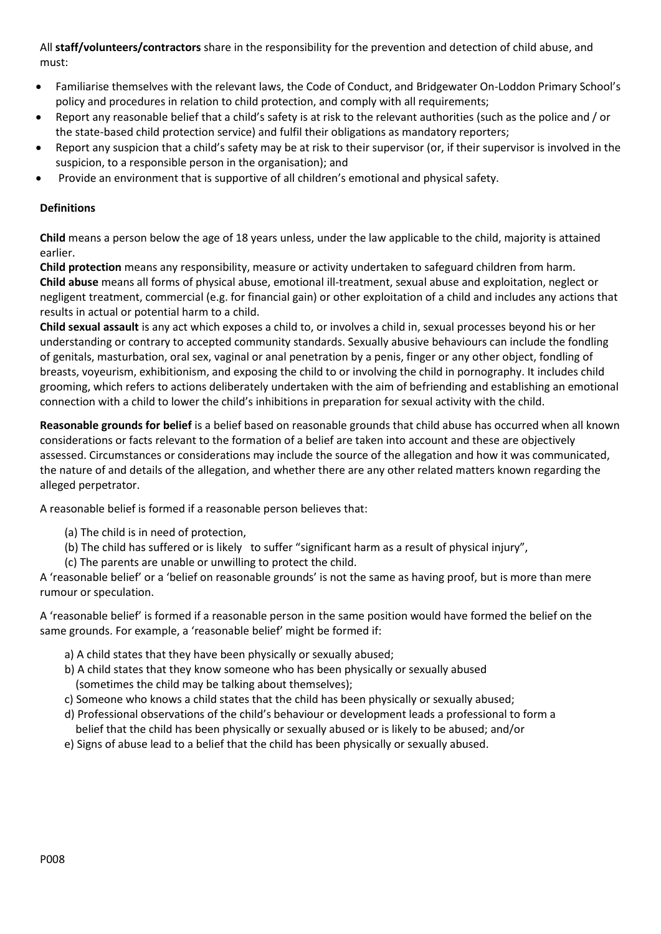All **staff/volunteers/contractors** share in the responsibility for the prevention and detection of child abuse, and must:

- Familiarise themselves with the relevant laws, the Code of Conduct, and Bridgewater On-Loddon Primary School's policy and procedures in relation to child protection, and comply with all requirements;
- Report any reasonable belief that a child's safety is at risk to the relevant authorities (such as the police and / or the state-based child protection service) and fulfil their obligations as mandatory reporters;
- Report any suspicion that a child's safety may be at risk to their supervisor (or, if their supervisor is involved in the suspicion, to a responsible person in the organisation); and
- Provide an environment that is supportive of all children's emotional and physical safety.

# **Definitions**

**Child** means a person below the age of 18 years unless, under the law applicable to the child, majority is attained earlier.

**Child protection** means any responsibility, measure or activity undertaken to safeguard children from harm. **Child abuse** means all forms of physical abuse, emotional ill-treatment, sexual abuse and exploitation, neglect or negligent treatment, commercial (e.g. for financial gain) or other exploitation of a child and includes any actions that results in actual or potential harm to a child.

**Child sexual assault** is any act which exposes a child to, or involves a child in, sexual processes beyond his or her understanding or contrary to accepted community standards. Sexually abusive behaviours can include the fondling of genitals, masturbation, oral sex, vaginal or anal penetration by a penis, finger or any other object, fondling of breasts, voyeurism, exhibitionism, and exposing the child to or involving the child in pornography. It includes child grooming, which refers to actions deliberately undertaken with the aim of befriending and establishing an emotional connection with a child to lower the child's inhibitions in preparation for sexual activity with the child.

**Reasonable grounds for belief** is a belief based on reasonable grounds that child abuse has occurred when all known considerations or facts relevant to the formation of a belief are taken into account and these are objectively assessed. Circumstances or considerations may include the source of the allegation and how it was communicated, the nature of and details of the allegation, and whether there are any other related matters known regarding the alleged perpetrator.

A reasonable belief is formed if a reasonable person believes that:

- (a) The child is in need of protection,
- (b) The child has suffered or is likely to suffer "significant harm as a result of physical injury",
- (c) The parents are unable or unwilling to protect the child.

A 'reasonable belief' or a 'belief on reasonable grounds' is not the same as having proof, but is more than mere rumour or speculation.

A 'reasonable belief' is formed if a reasonable person in the same position would have formed the belief on the same grounds. For example, a 'reasonable belief' might be formed if:

- a) A child states that they have been physically or sexually abused;
- b) A child states that they know someone who has been physically or sexually abused (sometimes the child may be talking about themselves);
- c) Someone who knows a child states that the child has been physically or sexually abused;
- d) Professional observations of the child's behaviour or development leads a professional to form a belief that the child has been physically or sexually abused or is likely to be abused; and/or
- e) Signs of abuse lead to a belief that the child has been physically or sexually abused.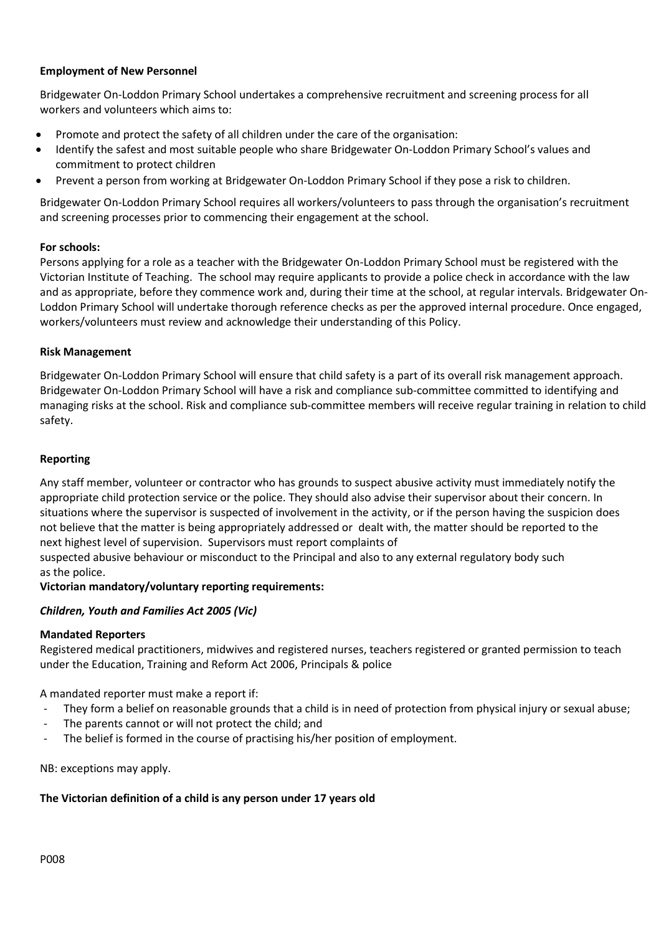# **Employment of New Personnel**

Bridgewater On-Loddon Primary School undertakes a comprehensive recruitment and screening process for all workers and volunteers which aims to:

- Promote and protect the safety of all children under the care of the organisation:
- Identify the safest and most suitable people who share Bridgewater On-Loddon Primary School's values and commitment to protect children
- Prevent a person from working at Bridgewater On-Loddon Primary School if they pose a risk to children.

Bridgewater On-Loddon Primary School requires all workers/volunteers to pass through the organisation's recruitment and screening processes prior to commencing their engagement at the school.

### **For schools:**

Persons applying for a role as a teacher with the Bridgewater On-Loddon Primary School must be registered with the Victorian Institute of Teaching. The school may require applicants to provide a police check in accordance with the law and as appropriate, before they commence work and, during their time at the school, at regular intervals. Bridgewater On-Loddon Primary School will undertake thorough reference checks as per the approved internal procedure. Once engaged, workers/volunteers must review and acknowledge their understanding of this Policy.

#### **Risk Management**

Bridgewater On-Loddon Primary School will ensure that child safety is a part of its overall risk management approach. Bridgewater On-Loddon Primary School will have a risk and compliance sub-committee committed to identifying and managing risks at the school. Risk and compliance sub-committee members will receive regular training in relation to child safety.

#### **Reporting**

Any staff member, volunteer or contractor who has grounds to suspect abusive activity must immediately notify the appropriate child protection service or the police. They should also advise their supervisor about their concern. In situations where the supervisor is suspected of involvement in the activity, or if the person having the suspicion does not believe that the matter is being appropriately addressed or dealt with, the matter should be reported to the next highest level of supervision. Supervisors must report complaints of

suspected abusive behaviour or misconduct to the Principal and also to any external regulatory body such as the police.

### **Victorian mandatory/voluntary reporting requirements:**

### *Children, Youth and Families Act 2005 (Vic)*

#### **Mandated Reporters**

Registered medical practitioners, midwives and registered nurses, teachers registered or granted permission to teach under the Education, Training and Reform Act 2006, Principals & police

A mandated reporter must make a report if:

- They form a belief on reasonable grounds that a child is in need of protection from physical injury or sexual abuse;
- The parents cannot or will not protect the child; and
- The belief is formed in the course of practising his/her position of employment.

NB: exceptions may apply.

### **The Victorian definition of a child is any person under 17 years old**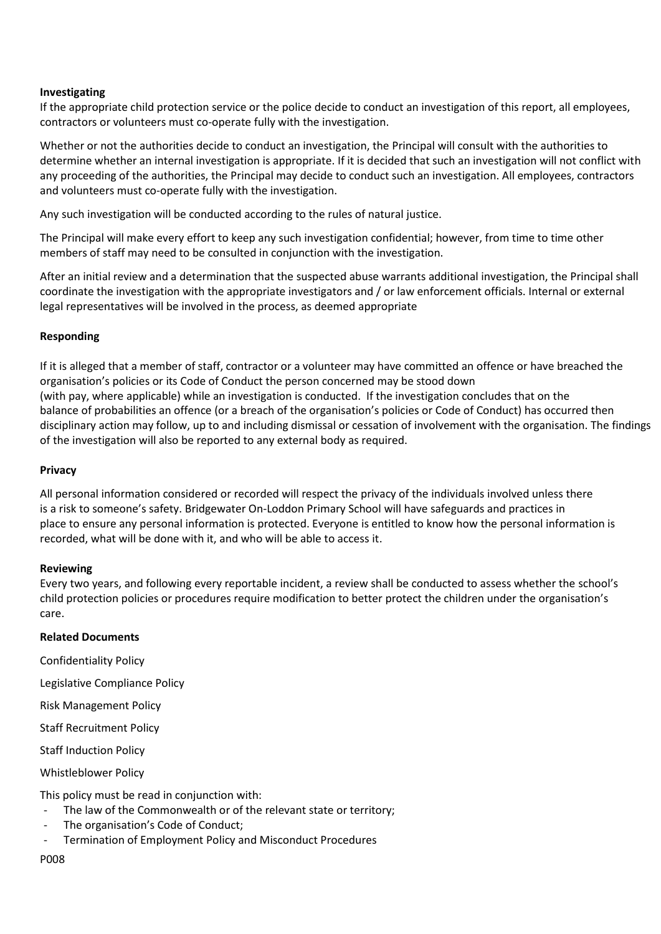## **Investigating**

If the appropriate child protection service or the police decide to conduct an investigation of this report, all employees, contractors or volunteers must co-operate fully with the investigation.

Whether or not the authorities decide to conduct an investigation, the Principal will consult with the authorities to determine whether an internal investigation is appropriate. If it is decided that such an investigation will not conflict with any proceeding of the authorities, the Principal may decide to conduct such an investigation. All employees, contractors and volunteers must co-operate fully with the investigation.

Any such investigation will be conducted according to the rules of natural justice.

The Principal will make every effort to keep any such investigation confidential; however, from time to time other members of staff may need to be consulted in conjunction with the investigation.

After an initial review and a determination that the suspected abuse warrants additional investigation, the Principal shall coordinate the investigation with the appropriate investigators and / or law enforcement officials. Internal or external legal representatives will be involved in the process, as deemed appropriate

# **Responding**

If it is alleged that a member of staff, contractor or a volunteer may have committed an offence or have breached the organisation's policies or its Code of Conduct the person concerned may be stood down (with pay, where applicable) while an investigation is conducted. If the investigation concludes that on the balance of probabilities an offence (or a breach of the organisation's policies or Code of Conduct) has occurred then disciplinary action may follow, up to and including dismissal or cessation of involvement with the organisation. The findings of the investigation will also be reported to any external body as required.

## **Privacy**

All personal information considered or recorded will respect the privacy of the individuals involved unless there is a risk to someone's safety. Bridgewater On-Loddon Primary School will have safeguards and practices in place to ensure any personal information is protected. Everyone is entitled to know how the personal information is recorded, what will be done with it, and who will be able to access it.

### **Reviewing**

Every two years, and following every reportable incident, a review shall be conducted to assess whether the school's child protection policies or procedures require modification to better protect the children under the organisation's care.

# **Related Documents**

Confidentiality Policy

Legislative Compliance Policy

Risk Management Policy

Staff Recruitment Policy

Staff Induction Policy

Whistleblower Policy

This policy must be read in conjunction with:

- The law of the Commonwealth or of the relevant state or territory;
- The organisation's Code of Conduct;
- Termination of Employment Policy and Misconduct Procedures

P008